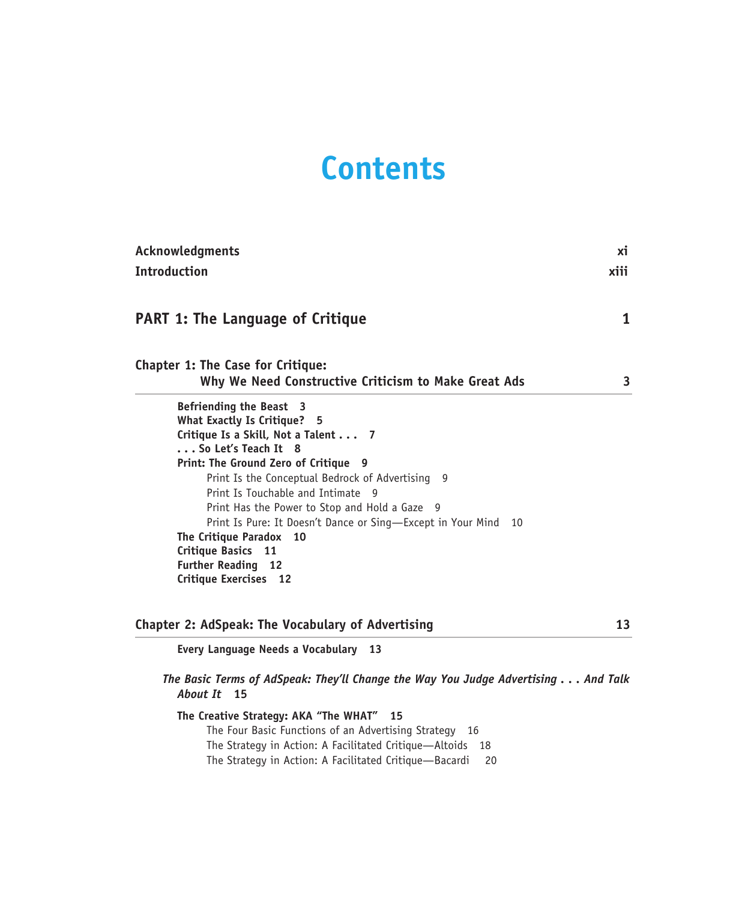# **Contents**

| Acknowledgments                                                                                                                                                                                                                                                                                                                                                                                                                                                                       | хi   |
|---------------------------------------------------------------------------------------------------------------------------------------------------------------------------------------------------------------------------------------------------------------------------------------------------------------------------------------------------------------------------------------------------------------------------------------------------------------------------------------|------|
| <b>Introduction</b>                                                                                                                                                                                                                                                                                                                                                                                                                                                                   | xiii |
| <b>PART 1: The Language of Critique</b>                                                                                                                                                                                                                                                                                                                                                                                                                                               | 1    |
| <b>Chapter 1: The Case for Critique:</b><br>Why We Need Constructive Criticism to Make Great Ads                                                                                                                                                                                                                                                                                                                                                                                      | 3    |
| Befriending the Beast 3<br>What Exactly Is Critique? 5<br>Critique Is a Skill, Not a Talent 7<br>So Let's Teach It 8<br>Print: The Ground Zero of Critique 9<br>Print Is the Conceptual Bedrock of Advertising 9<br>Print Is Touchable and Intimate 9<br>Print Has the Power to Stop and Hold a Gaze 9<br>Print Is Pure: It Doesn't Dance or Sing-Except in Your Mind<br>10<br>The Critique Paradox<br>10<br>Critique Basics 11<br><b>Further Reading 12</b><br>Critique Exercises 12 |      |
| Chapter 2: AdSpeak: The Vocabulary of Advertising<br>Every Language Needs a Vocabulary 13                                                                                                                                                                                                                                                                                                                                                                                             | 13   |
| The Basic Terms of AdSpeak: They'll Change the Way You Judge Advertising And Talk<br>About It 15                                                                                                                                                                                                                                                                                                                                                                                      |      |
| The Creative Strategy: AKA "The WHAT" 15<br>The Four Basic Functions of an Advertising Strategy 16<br>The Strategy in Action: A Facilitated Critique-Altoids<br>18<br>The Strategy in Action: A Facilitated Critique-Bacardi<br>20                                                                                                                                                                                                                                                    |      |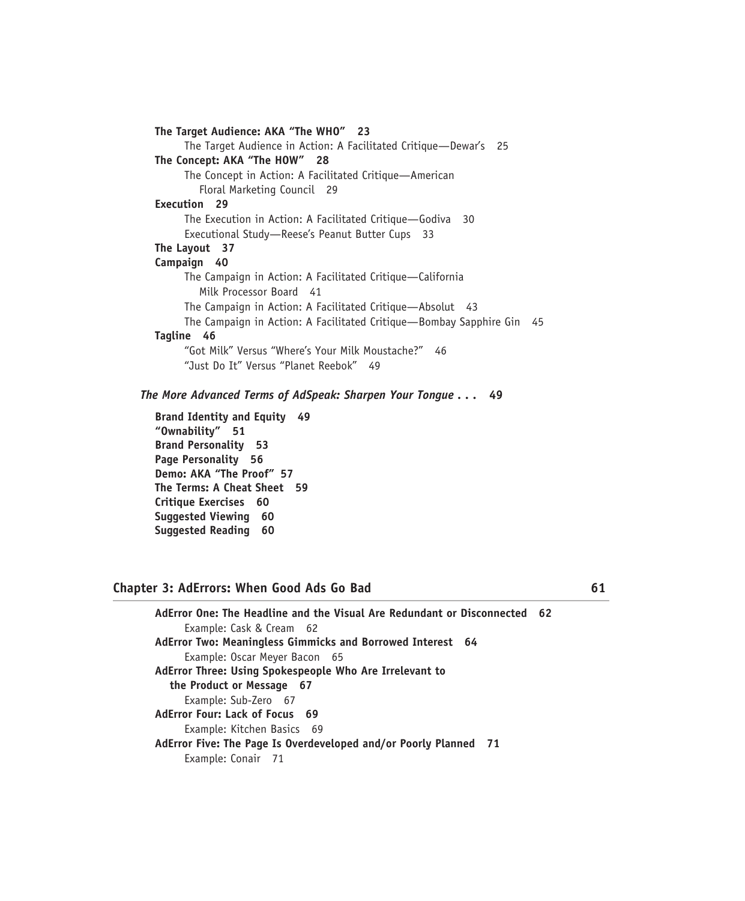| The Target Audience: AKA "The WHO" 23                              |    |
|--------------------------------------------------------------------|----|
| The Target Audience in Action: A Facilitated Critique—Dewar's 25   |    |
| The Concept: AKA "The HOW" 28                                      |    |
| The Concept in Action: A Facilitated Critique—American             |    |
| Floral Marketing Council 29                                        |    |
| Execution 29                                                       |    |
| The Execution in Action: A Facilitated Critique—Godiva 30          |    |
| Executional Study-Reese's Peanut Butter Cups 33                    |    |
| The Layout 37                                                      |    |
| Campaign 40                                                        |    |
| The Campaign in Action: A Facilitated Critique—California          |    |
| Milk Processor Board 41                                            |    |
| The Campaign in Action: A Facilitated Critique—Absolut 43          |    |
| The Campaign in Action: A Facilitated Critique—Bombay Sapphire Gin | 45 |
| Tagline 46                                                         |    |
| "Got Milk" Versus "Where's Your Milk Moustache?" 46                |    |
| "Just Do It" Versus "Planet Reebok" 49                             |    |

*The More Advanced Terms of AdSpeak: Sharpen Your Tongue . . .* **49** 

**Brand Identity and Equity 49 "Ownability" 51 Brand Personality 53 Page Personality 56 Demo: AKA "The Proof" 57 The Terms: A Cheat Sheet 59 Critique Exercises 60 Suggested Viewing 60 Suggested Reading 60** 

## **Chapter 3: AdErrors: When Good Ads Go Bad 61**

**AdError One: The Headline and the Visual Are Redundant or Disconnected 62**  Example: Cask & Cream 62 **AdError Two: Meaningless Gimmicks and Borrowed Interest 64**  Example: Oscar Meyer Bacon 65 **AdError Three: Using Spokespeople Who Are Irrelevant to the Product or Message 67**  Example: Sub-Zero 67 **AdError Four: Lack of Focus 69**  Example: Kitchen Basics 69 **AdError Five: The Page Is Overdeveloped and/or Poorly Planned 71**  Example: Conair 71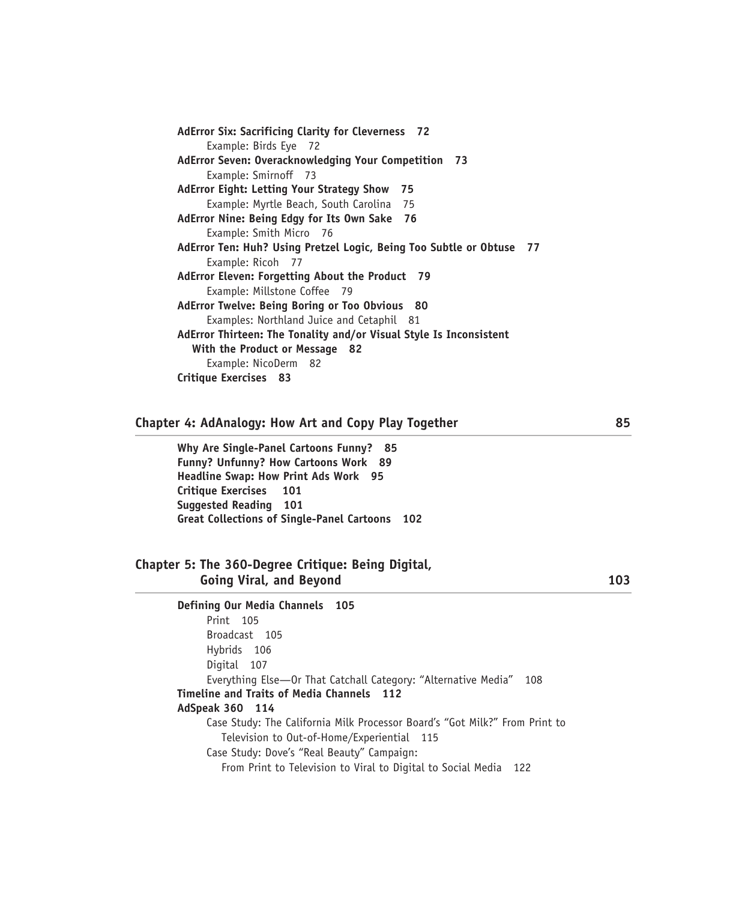```
AdError Six: Sacrificing Clarity for Cleverness 72 
     Example: Birds Eye 72 
AdError Seven: Overacknowledging Your Competition 73 
     Example: Smirnoff 73 
AdError Eight: Letting Your Strategy Show 75 
     Example: Myrtle Beach, South Carolina 75 
AdError Nine: Being Edgy for Its Own Sake 76 
     Example: Smith Micro 76 
AdError Ten: Huh? Using Pretzel Logic, Being Too Subtle or Obtuse 77 
     Example: Ricoh 77 
AdError Eleven: Forgetting About the Product 79 
     Example: Millstone Coffee 79 
AdError Twelve: Being Boring or Too Obvious 80 
     Examples: Northland Juice and Cetaphil 81 
AdError Thirteen: The Tonality and/or Visual Style Is Inconsistent 
  With the Product or Message 82 
     Example: NicoDerm 82 
Critique Exercises 83
```
#### **Chapter 4: AdAnalogy: How Art and Copy Play Together 85**

**Why Are Single-Panel Cartoons Funny? 85 Funny? Unfunny? How Cartoons Work 89 Headline Swap: How Print Ads Work 95 Critique Exercises 101 Suggested Reading 101 Great Collections of Single-Panel Cartoons 102** 

## **Chapter 5: The 360-Degree Critique: Being Digital, Going Viral, and Beyond 103**

**Defining Our Media Channels 105**  Print 105 Broadcast 105 Hybrids 106 Digital 107 Everything Else—Or That Catchall Category: "Alternative Media" 108 **Timeline and Traits of Media Channels 112 AdSpeak 360 114**  Case Study: The California Milk Processor Board's "Got Milk?" From Print to Television to Out-of-Home/Experiential 115 Case Study: Dove's "Real Beauty" Campaign: From Print to Television to Viral to Digital to Social Media 122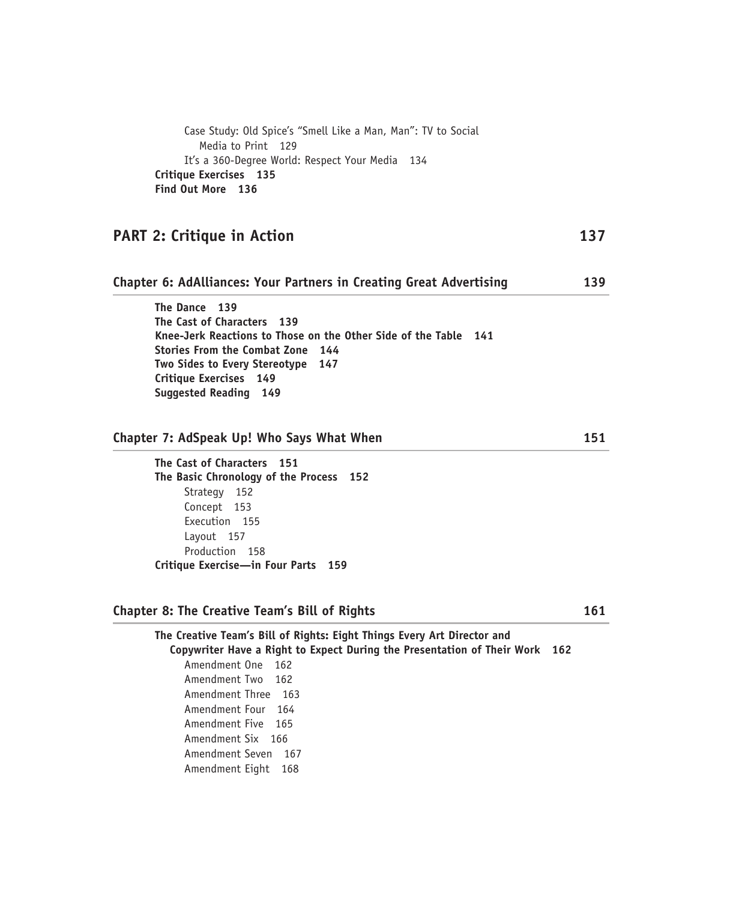Case Study: Old Spice's "Smell Like a Man, Man": TV to Social Media to Print 129 It's a 360-Degree World: Respect Your Media 134 **Critique Exercises 135 Find Out More 136** 

# **PART 2: Critique in Action** 137

## **Chapter 6: AdAlliances: Your Partners in Creating Great Advertising 139**

**The Dance 139 The Cast of Characters 139 Knee-Jerk Reactions to Those on the Other Side of the Table 141 Stories From the Combat Zone 144 Two Sides to Every Stereotype 147 Critique Exercises 149 Suggested Reading 149** 

## **Chapter 7: AdSpeak Up! Who Says What When 151**

**The Cast of Characters 151 The Basic Chronology of the Process 152**  Strategy 152 Concept 153 Execution 155 Layout 157 Production 158 **Critique Exercise—in Four Parts 159** 

### **Chapter 8: The Creative Team's Bill of Rights 161**

**The Creative Team's Bill of Rights: Eight Things Every Art Director and Copywriter Have a Right to Expect During the Presentation of Their Work 162**  Amendment One 162 Amendment Two 162 Amendment Three 163 Amendment Four 164 Amendment Five 165 Amendment Six 166 Amendment Seven 167 Amendment Eight 168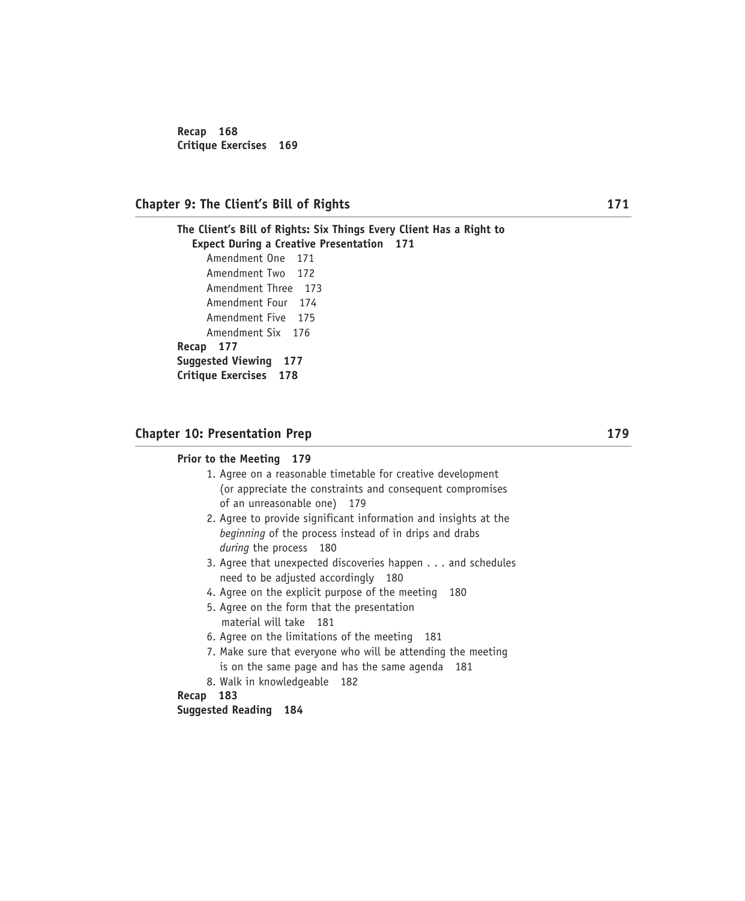**Recap 168 Critique Exercises 169** 

## **Chapter 9: The Client's Bill of Rights 171**

**The Client's Bill of Rights: Six Things Every Client Has a Right to Expect During a Creative Presentation 171**  Amendment One 171 Amendment Two 172 Amendment Three 173 Amendment Four 174 Amendment Five 175 Amendment Six 176 **Recap 177 Suggested Viewing 177 Critique Exercises 178** 

## **Chapter 10: Presentation Prep 179**  179

#### **Prior to the Meeting 179**

- 1. Agree on a reasonable timetable for creative development (or appreciate the constraints and consequent compromises of an unreasonable one) 179
- 2. Agree to provide significant information and insights at the *beginning* of the process instead of in drips and drabs *during* the process 180
- 3. Agree that unexpected discoveries happen . . . and schedules need to be adjusted accordingly 180
- 4. Agree on the explicit purpose of the meeting 180
- 5. Agree on the form that the presentation material will take 181
- 6. Agree on the limitations of the meeting 181
- 7. Make sure that everyone who will be attending the meeting is on the same page and has the same agenda 181
- 8. Walk in knowledgeable 182

**Recap 183** 

## **Suggested Reading 184**